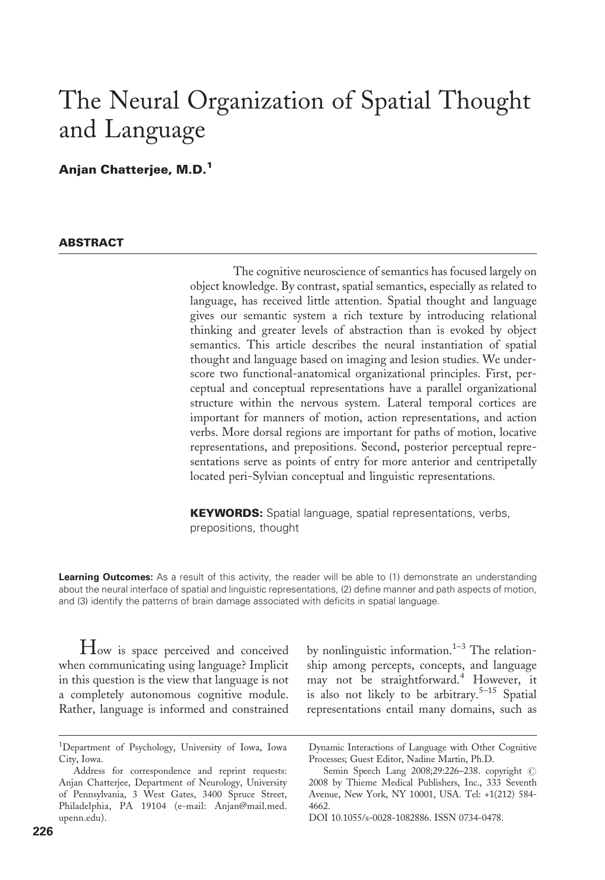# The Neural Organization of Spatial Thought and Language

## Anjan Chatterjee, M.D.<sup>1</sup>

#### **ABSTRACT**

The cognitive neuroscience of semantics has focused largely on object knowledge. By contrast, spatial semantics, especially as related to language, has received little attention. Spatial thought and language gives our semantic system a rich texture by introducing relational thinking and greater levels of abstraction than is evoked by object semantics. This article describes the neural instantiation of spatial thought and language based on imaging and lesion studies. We underscore two functional-anatomical organizational principles. First, perceptual and conceptual representations have a parallel organizational structure within the nervous system. Lateral temporal cortices are important for manners of motion, action representations, and action verbs. More dorsal regions are important for paths of motion, locative representations, and prepositions. Second, posterior perceptual representations serve as points of entry for more anterior and centripetally located peri-Sylvian conceptual and linguistic representations.

**KEYWORDS:** Spatial language, spatial representations, verbs, prepositions, thought

**Learning Outcomes:** As a result of this activity, the reader will be able to (1) demonstrate an understanding about the neural interface of spatial and linguistic representations, (2) define manner and path aspects of motion, and (3) identify the patterns of brain damage associated with deficits in spatial language.

How is space perceived and conceived when communicating using language? Implicit in this question is the view that language is not a completely autonomous cognitive module. Rather, language is informed and constrained by nonlinguistic information.<sup>1–3</sup> The relationship among percepts, concepts, and language may not be straightforward.4 However, it is also not likely to be arbitrary.<sup>5-15</sup> Spatial representations entail many domains, such as

DOI 10.1055/s-0028-1082886. ISSN 0734-0478.

<sup>&</sup>lt;sup>1</sup>Department of Psychology, University of Iowa, Iowa City, Iowa.

Address for correspondence and reprint requests: Anjan Chatterjee, Department of Neurology, University of Pennsylvania, 3 West Gates, 3400 Spruce Street, Philadelphia, PA 19104 (e-mail: Anjan@mail.med. upenn.edu).

Dynamic Interactions of Language with Other Cognitive Processes; Guest Editor, Nadine Martin, Ph.D.

Semin Speech Lang 2008;29:226-238. copyright  $\circled{c}$ 2008 by Thieme Medical Publishers, Inc., 333 Seventh Avenue, New York, NY 10001, USA. Tel: +1(212) 584- 4662.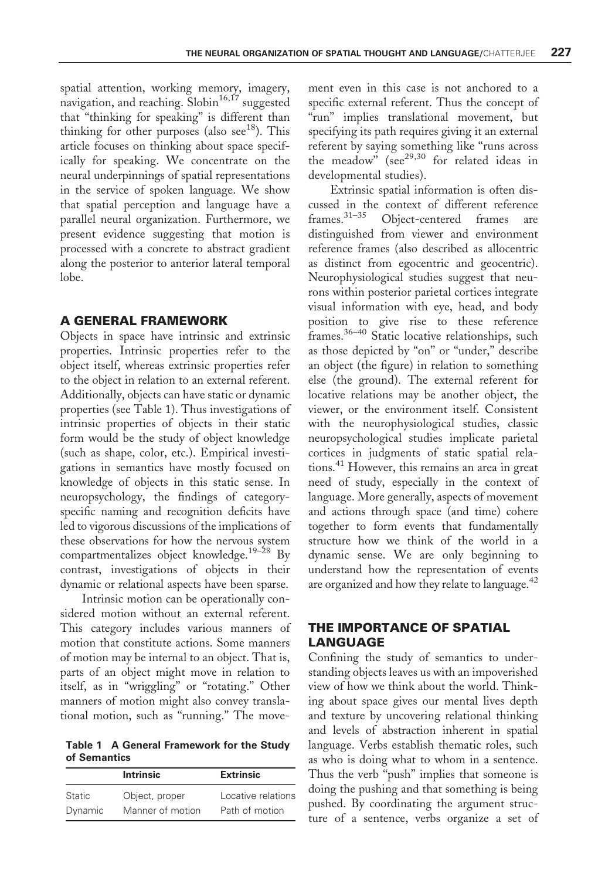spatial attention, working memory, imagery, navigation, and reaching.  $\text{Slobin}^{16,17}$  suggested that ''thinking for speaking'' is different than thinking for other purposes (also  $\sec^{18}$ ). This article focuses on thinking about space specifically for speaking. We concentrate on the neural underpinnings of spatial representations in the service of spoken language. We show that spatial perception and language have a parallel neural organization. Furthermore, we present evidence suggesting that motion is processed with a concrete to abstract gradient along the posterior to anterior lateral temporal lobe.

#### A GENERAL FRAMEWORK

Objects in space have intrinsic and extrinsic properties. Intrinsic properties refer to the object itself, whereas extrinsic properties refer to the object in relation to an external referent. Additionally, objects can have static or dynamic properties (see Table 1). Thus investigations of intrinsic properties of objects in their static form would be the study of object knowledge (such as shape, color, etc.). Empirical investigations in semantics have mostly focused on knowledge of objects in this static sense. In neuropsychology, the findings of categoryspecific naming and recognition deficits have led to vigorous discussions of the implications of these observations for how the nervous system compartmentalizes object knowledge.<sup>19-28</sup> By contrast, investigations of objects in their dynamic or relational aspects have been sparse.

Intrinsic motion can be operationally considered motion without an external referent. This category includes various manners of motion that constitute actions. Some manners of motion may be internal to an object. That is, parts of an object might move in relation to itself, as in "wriggling" or "rotating." Other manners of motion might also convey translational motion, such as "running." The move-

Table 1 A General Framework for the Study of Semantics

|         | <b>Intrinsic</b> | <b>Extrinsic</b>   |
|---------|------------------|--------------------|
| Static  | Object, proper   | Locative relations |
| Dynamic | Manner of motion | Path of motion     |

ment even in this case is not anchored to a specific external referent. Thus the concept of ''run'' implies translational movement, but specifying its path requires giving it an external referent by saying something like "runs across the meadow" ( $\sec^{29,30}$  for related ideas in developmental studies).

Extrinsic spatial information is often discussed in the context of different reference<br>frames.<sup>31-35</sup> Object-centered frames are Object-centered frames are distinguished from viewer and environment reference frames (also described as allocentric as distinct from egocentric and geocentric). Neurophysiological studies suggest that neurons within posterior parietal cortices integrate visual information with eye, head, and body position to give rise to these reference frames.36–40 Static locative relationships, such as those depicted by "on" or "under," describe an object (the figure) in relation to something else (the ground). The external referent for locative relations may be another object, the viewer, or the environment itself. Consistent with the neurophysiological studies, classic neuropsychological studies implicate parietal cortices in judgments of static spatial relations.<sup>41</sup> However, this remains an area in great need of study, especially in the context of language. More generally, aspects of movement and actions through space (and time) cohere together to form events that fundamentally structure how we think of the world in a dynamic sense. We are only beginning to understand how the representation of events are organized and how they relate to language. $42$ 

## THE IMPORTANCE OF SPATIAL **LANGUAGE**

Confining the study of semantics to understanding objects leaves us with an impoverished view of how we think about the world. Thinking about space gives our mental lives depth and texture by uncovering relational thinking and levels of abstraction inherent in spatial language. Verbs establish thematic roles, such as who is doing what to whom in a sentence. Thus the verb "push" implies that someone is doing the pushing and that something is being pushed. By coordinating the argument structure of a sentence, verbs organize a set of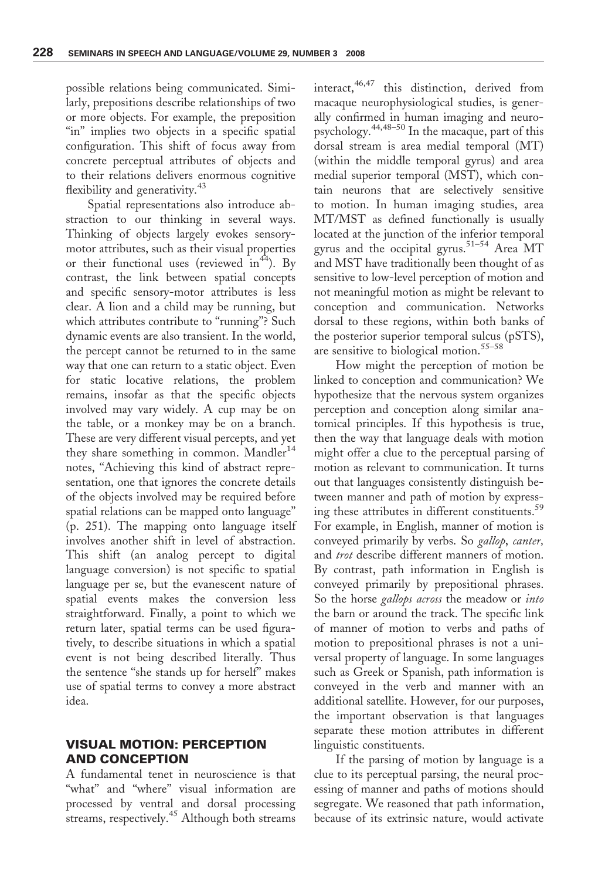possible relations being communicated. Similarly, prepositions describe relationships of two or more objects. For example, the preposition "in" implies two objects in a specific spatial configuration. This shift of focus away from concrete perceptual attributes of objects and to their relations delivers enormous cognitive flexibility and generativity.<sup>43</sup>

Spatial representations also introduce abstraction to our thinking in several ways. Thinking of objects largely evokes sensorymotor attributes, such as their visual properties or their functional uses (reviewed in<sup>44</sup>). By contrast, the link between spatial concepts and specific sensory-motor attributes is less clear. A lion and a child may be running, but which attributes contribute to "running"? Such dynamic events are also transient. In the world, the percept cannot be returned to in the same way that one can return to a static object. Even for static locative relations, the problem remains, insofar as that the specific objects involved may vary widely. A cup may be on the table, or a monkey may be on a branch. These are very different visual percepts, and yet they share something in common. Mandler<sup>14</sup> notes, "Achieving this kind of abstract representation, one that ignores the concrete details of the objects involved may be required before spatial relations can be mapped onto language'' (p. 251). The mapping onto language itself involves another shift in level of abstraction. This shift (an analog percept to digital language conversion) is not specific to spatial language per se, but the evanescent nature of spatial events makes the conversion less straightforward. Finally, a point to which we return later, spatial terms can be used figuratively, to describe situations in which a spatial event is not being described literally. Thus the sentence ''she stands up for herself'' makes use of spatial terms to convey a more abstract idea.

## VISUAL MOTION: PERCEPTION AND CONCEPTION

A fundamental tenet in neuroscience is that "what" and "where" visual information are processed by ventral and dorsal processing streams, respectively.<sup>45</sup> Although both streams

interact, $46,47$  this distinction, derived from macaque neurophysiological studies, is generally confirmed in human imaging and neuropsychology.44,48–50 In the macaque, part of this dorsal stream is area medial temporal (MT) (within the middle temporal gyrus) and area medial superior temporal (MST), which contain neurons that are selectively sensitive to motion. In human imaging studies, area MT/MST as defined functionally is usually located at the junction of the inferior temporal gyrus and the occipital gyrus.<sup>51-54</sup> Area MT and MST have traditionally been thought of as sensitive to low-level perception of motion and not meaningful motion as might be relevant to conception and communication. Networks dorsal to these regions, within both banks of the posterior superior temporal sulcus (pSTS), are sensitive to biological motion.<sup>55–58</sup>

How might the perception of motion be linked to conception and communication? We hypothesize that the nervous system organizes perception and conception along similar anatomical principles. If this hypothesis is true, then the way that language deals with motion might offer a clue to the perceptual parsing of motion as relevant to communication. It turns out that languages consistently distinguish between manner and path of motion by expressing these attributes in different constituents.<sup>59</sup> For example, in English, manner of motion is conveyed primarily by verbs. So gallop, canter, and trot describe different manners of motion. By contrast, path information in English is conveyed primarily by prepositional phrases. So the horse *gallops across* the meadow or *into* the barn or around the track. The specific link of manner of motion to verbs and paths of motion to prepositional phrases is not a universal property of language. In some languages such as Greek or Spanish, path information is conveyed in the verb and manner with an additional satellite. However, for our purposes, the important observation is that languages separate these motion attributes in different linguistic constituents.

If the parsing of motion by language is a clue to its perceptual parsing, the neural processing of manner and paths of motions should segregate. We reasoned that path information, because of its extrinsic nature, would activate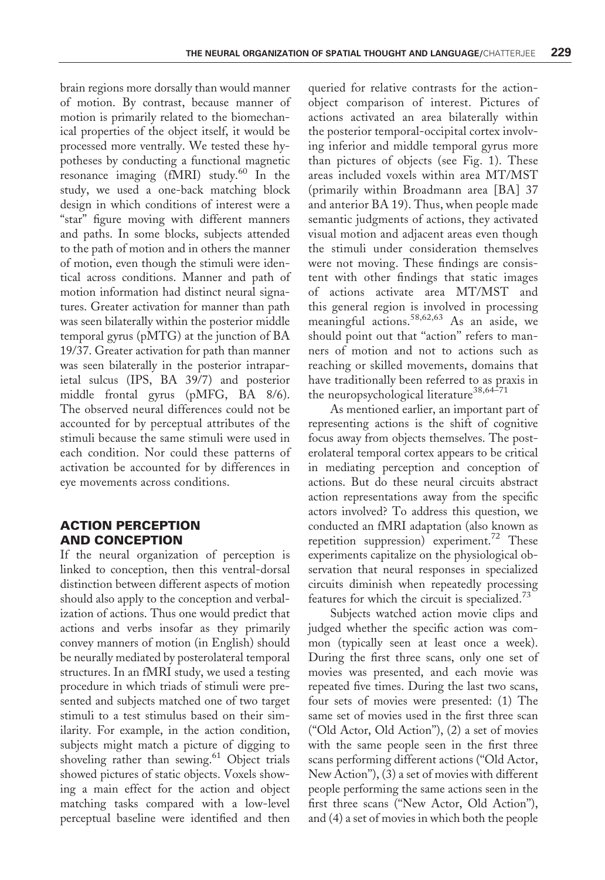brain regions more dorsally than would manner of motion. By contrast, because manner of motion is primarily related to the biomechanical properties of the object itself, it would be processed more ventrally. We tested these hypotheses by conducting a functional magnetic resonance imaging (fMRI) study.<sup>60</sup> In the study, we used a one-back matching block design in which conditions of interest were a "star" figure moving with different manners and paths. In some blocks, subjects attended to the path of motion and in others the manner of motion, even though the stimuli were identical across conditions. Manner and path of motion information had distinct neural signatures. Greater activation for manner than path was seen bilaterally within the posterior middle temporal gyrus (pMTG) at the junction of BA 19/37. Greater activation for path than manner was seen bilaterally in the posterior intraparietal sulcus (IPS, BA 39/7) and posterior middle frontal gyrus (pMFG, BA 8/6). The observed neural differences could not be accounted for by perceptual attributes of the stimuli because the same stimuli were used in each condition. Nor could these patterns of activation be accounted for by differences in eye movements across conditions.

## ACTION PERCEPTION AND CONCEPTION

If the neural organization of perception is linked to conception, then this ventral-dorsal distinction between different aspects of motion should also apply to the conception and verbalization of actions. Thus one would predict that actions and verbs insofar as they primarily convey manners of motion (in English) should be neurally mediated by posterolateral temporal structures. In an fMRI study, we used a testing procedure in which triads of stimuli were presented and subjects matched one of two target stimuli to a test stimulus based on their similarity. For example, in the action condition, subjects might match a picture of digging to shoveling rather than sewing.<sup>61</sup> Object trials showed pictures of static objects. Voxels showing a main effect for the action and object matching tasks compared with a low-level perceptual baseline were identified and then

queried for relative contrasts for the actionobject comparison of interest. Pictures of actions activated an area bilaterally within the posterior temporal-occipital cortex involving inferior and middle temporal gyrus more than pictures of objects (see Fig. 1). These areas included voxels within area MT/MST (primarily within Broadmann area [BA] 37 and anterior BA 19). Thus, when people made semantic judgments of actions, they activated visual motion and adjacent areas even though the stimuli under consideration themselves were not moving. These findings are consistent with other findings that static images of actions activate area MT/MST and this general region is involved in processing meaningful actions.<sup>58,62,63</sup> As an aside, we should point out that ''action'' refers to manners of motion and not to actions such as reaching or skilled movements, domains that have traditionally been referred to as praxis in the neuropsychological literature<sup>38,64-71</sup>

As mentioned earlier, an important part of representing actions is the shift of cognitive focus away from objects themselves. The posterolateral temporal cortex appears to be critical in mediating perception and conception of actions. But do these neural circuits abstract action representations away from the specific actors involved? To address this question, we conducted an fMRI adaptation (also known as repetition suppression) experiment.<sup>72</sup> These experiments capitalize on the physiological observation that neural responses in specialized circuits diminish when repeatedly processing features for which the circuit is specialized.<sup>73</sup>

Subjects watched action movie clips and judged whether the specific action was common (typically seen at least once a week). During the first three scans, only one set of movies was presented, and each movie was repeated five times. During the last two scans, four sets of movies were presented: (1) The same set of movies used in the first three scan (''Old Actor, Old Action''), (2) a set of movies with the same people seen in the first three scans performing different actions (''Old Actor, New Action''), (3) a set of movies with different people performing the same actions seen in the first three scans (''New Actor, Old Action''), and (4) a set of movies in which both the people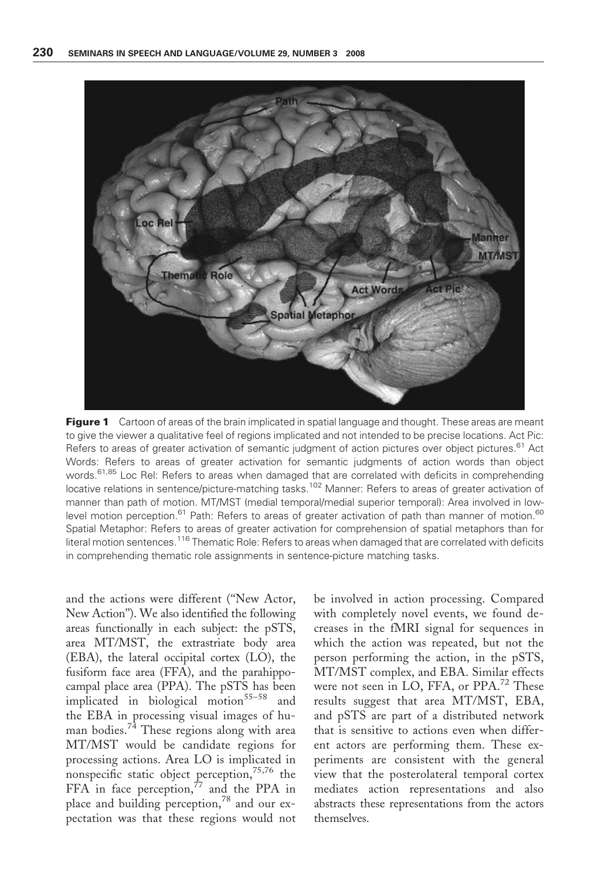

Figure 1 Cartoon of areas of the brain implicated in spatial language and thought. These areas are meant to give the viewer a qualitative feel of regions implicated and not intended to be precise locations. Act Pic: Refers to areas of greater activation of semantic judgment of action pictures over object pictures.<sup>61</sup> Act Words: Refers to areas of greater activation for semantic judgments of action words than object words.<sup>61,85</sup> Loc Rel: Refers to areas when damaged that are correlated with deficits in comprehending locative relations in sentence/picture-matching tasks.<sup>102</sup> Manner: Refers to areas of greater activation of manner than path of motion. MT/MST (medial temporal/medial superior temporal): Area involved in lowlevel motion perception.<sup>61</sup> Path: Refers to areas of greater activation of path than manner of motion.<sup>60</sup> Spatial Metaphor: Refers to areas of greater activation for comprehension of spatial metaphors than for literal motion sentences.<sup>116</sup> Thematic Role: Refers to areas when damaged that are correlated with deficits in comprehending thematic role assignments in sentence-picture matching tasks.

and the actions were different (''New Actor, New Action''). We also identified the following areas functionally in each subject: the pSTS, area MT/MST, the extrastriate body area (EBA), the lateral occipital cortex (LO), the fusiform face area (FFA), and the parahippocampal place area (PPA). The pSTS has been implicated in biological motion<sup>55–58</sup> and the EBA in processing visual images of human bodies.<sup>74</sup> These regions along with area MT/MST would be candidate regions for processing actions. Area LO is implicated in nonspecific static object perception,  $75,76$  the FFA in face perception,<sup>77</sup> and the PPA in place and building perception,<sup>78</sup> and our expectation was that these regions would not

be involved in action processing. Compared with completely novel events, we found decreases in the fMRI signal for sequences in which the action was repeated, but not the person performing the action, in the pSTS, MT/MST complex, and EBA. Similar effects were not seen in LO, FFA, or PPA.<sup>72</sup> These results suggest that area MT/MST, EBA, and pSTS are part of a distributed network that is sensitive to actions even when different actors are performing them. These experiments are consistent with the general view that the posterolateral temporal cortex mediates action representations and also abstracts these representations from the actors themselves.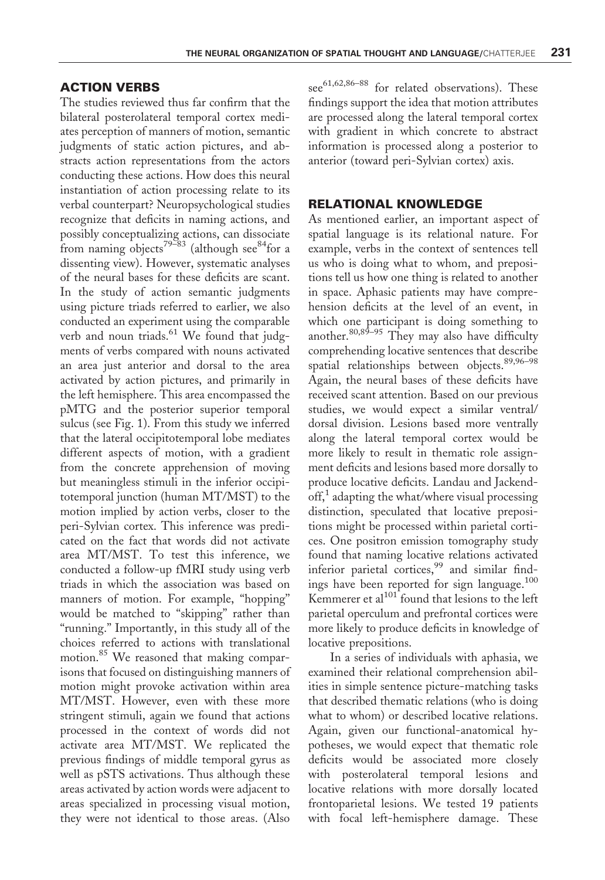## ACTION VERBS

The studies reviewed thus far confirm that the bilateral posterolateral temporal cortex mediates perception of manners of motion, semantic judgments of static action pictures, and abstracts action representations from the actors conducting these actions. How does this neural instantiation of action processing relate to its verbal counterpart? Neuropsychological studies recognize that deficits in naming actions, and possibly conceptualizing actions, can dissociate from naming objects<sup>79–83</sup> (although see<sup>84</sup>for a dissenting view). However, systematic analyses of the neural bases for these deficits are scant. In the study of action semantic judgments using picture triads referred to earlier, we also conducted an experiment using the comparable verb and noun triads.<sup>61</sup> We found that judgments of verbs compared with nouns activated an area just anterior and dorsal to the area activated by action pictures, and primarily in the left hemisphere. This area encompassed the pMTG and the posterior superior temporal sulcus (see Fig. 1). From this study we inferred that the lateral occipitotemporal lobe mediates different aspects of motion, with a gradient from the concrete apprehension of moving but meaningless stimuli in the inferior occipitotemporal junction (human MT/MST) to the motion implied by action verbs, closer to the peri-Sylvian cortex. This inference was predicated on the fact that words did not activate area MT/MST. To test this inference, we conducted a follow-up fMRI study using verb triads in which the association was based on manners of motion. For example, "hopping" would be matched to ''skipping'' rather than "running." Importantly, in this study all of the choices referred to actions with translational motion.<sup>85</sup> We reasoned that making comparisons that focused on distinguishing manners of motion might provoke activation within area MT/MST. However, even with these more stringent stimuli, again we found that actions processed in the context of words did not activate area MT/MST. We replicated the previous findings of middle temporal gyrus as well as pSTS activations. Thus although these areas activated by action words were adjacent to areas specialized in processing visual motion, they were not identical to those areas. (Also

see<sup>61,62,86–88</sup> for related observations). These findings support the idea that motion attributes are processed along the lateral temporal cortex with gradient in which concrete to abstract information is processed along a posterior to anterior (toward peri-Sylvian cortex) axis.

## RELATIONAL KNOWLEDGE

As mentioned earlier, an important aspect of spatial language is its relational nature. For example, verbs in the context of sentences tell us who is doing what to whom, and prepositions tell us how one thing is related to another in space. Aphasic patients may have comprehension deficits at the level of an event, in which one participant is doing something to another.<sup>80,89–95</sup> They may also have difficulty comprehending locative sentences that describe spatial relationships between objects.<sup>89,96–98</sup> Again, the neural bases of these deficits have received scant attention. Based on our previous studies, we would expect a similar ventral/ dorsal division. Lesions based more ventrally along the lateral temporal cortex would be more likely to result in thematic role assignment deficits and lesions based more dorsally to produce locative deficits. Landau and Jackend $off<sup>1</sup>$  adapting the what/where visual processing distinction, speculated that locative prepositions might be processed within parietal cortices. One positron emission tomography study found that naming locative relations activated inferior parietal cortices,<sup>99</sup> and similar findings have been reported for sign language.<sup>100</sup> Kemmerer et al $^{101}$  found that lesions to the left parietal operculum and prefrontal cortices were more likely to produce deficits in knowledge of locative prepositions.

In a series of individuals with aphasia, we examined their relational comprehension abilities in simple sentence picture-matching tasks that described thematic relations (who is doing what to whom) or described locative relations. Again, given our functional-anatomical hypotheses, we would expect that thematic role deficits would be associated more closely with posterolateral temporal lesions and locative relations with more dorsally located frontoparietal lesions. We tested 19 patients with focal left-hemisphere damage. These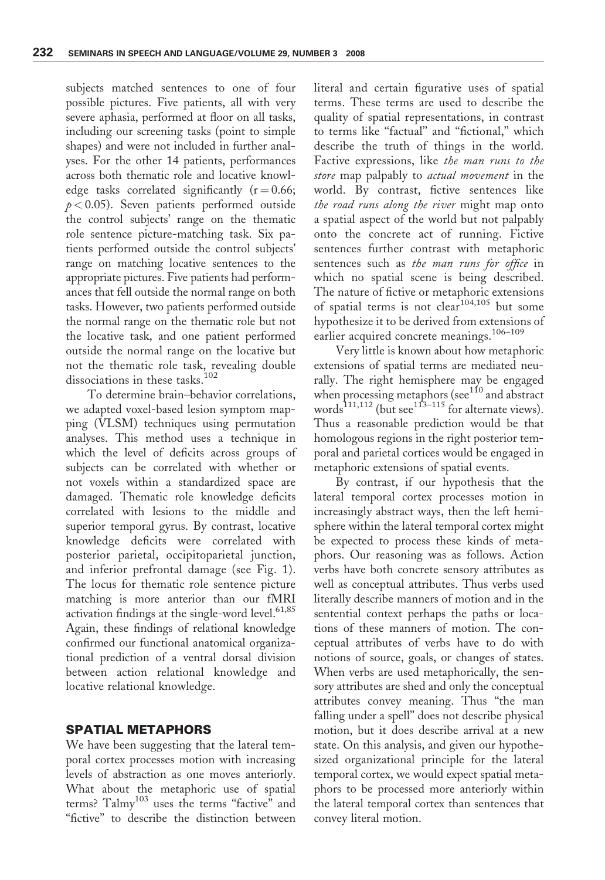subjects matched sentences to one of four possible pictures. Five patients, all with very severe aphasia, performed at floor on all tasks, including our screening tasks (point to simple shapes) and were not included in further analyses. For the other 14 patients, performances across both thematic role and locative knowledge tasks correlated significantly  $(r = 0.66;$  $p < 0.05$ ). Seven patients performed outside the control subjects' range on the thematic role sentence picture-matching task. Six patients performed outside the control subjects' range on matching locative sentences to the appropriate pictures. Five patients had performances that fell outside the normal range on both tasks. However, two patients performed outside the normal range on the thematic role but not the locative task, and one patient performed outside the normal range on the locative but not the thematic role task, revealing double dissociations in these tasks.<sup>102</sup>

To determine brain–behavior correlations, we adapted voxel-based lesion symptom mapping (VLSM) techniques using permutation analyses. This method uses a technique in which the level of deficits across groups of subjects can be correlated with whether or not voxels within a standardized space are damaged. Thematic role knowledge deficits correlated with lesions to the middle and superior temporal gyrus. By contrast, locative knowledge deficits were correlated with posterior parietal, occipitoparietal junction, and inferior prefrontal damage (see Fig. 1). The locus for thematic role sentence picture matching is more anterior than our fMRI activation findings at the single-word level.<sup>61,85</sup> Again, these findings of relational knowledge confirmed our functional anatomical organizational prediction of a ventral dorsal division between action relational knowledge and locative relational knowledge.

#### SPATIAL METAPHORS

We have been suggesting that the lateral temporal cortex processes motion with increasing levels of abstraction as one moves anteriorly. What about the metaphoric use of spatial terms? Talmy<sup>103</sup> uses the terms "factive" and "fictive" to describe the distinction between

literal and certain figurative uses of spatial terms. These terms are used to describe the quality of spatial representations, in contrast to terms like "factual" and "fictional," which describe the truth of things in the world. Factive expressions, like the man runs to the store map palpably to *actual movement* in the world. By contrast, fictive sentences like the road runs along the river might map onto a spatial aspect of the world but not palpably onto the concrete act of running. Fictive sentences further contrast with metaphoric sentences such as the man runs for office in which no spatial scene is being described. The nature of fictive or metaphoric extensions of spatial terms is not clear<sup>104,105</sup> but some hypothesize it to be derived from extensions of earlier acquired concrete meanings.<sup>106-109</sup>

Very little is known about how metaphoric extensions of spatial terms are mediated neurally. The right hemisphere may be engaged when processing metaphors (see<sup>110</sup> and abstract when procedure memphore (see  $\frac{111}{111}$  and  $\frac{111}{111}$  for alternate views). Thus a reasonable prediction would be that homologous regions in the right posterior temporal and parietal cortices would be engaged in metaphoric extensions of spatial events.

By contrast, if our hypothesis that the lateral temporal cortex processes motion in increasingly abstract ways, then the left hemisphere within the lateral temporal cortex might be expected to process these kinds of metaphors. Our reasoning was as follows. Action verbs have both concrete sensory attributes as well as conceptual attributes. Thus verbs used literally describe manners of motion and in the sentential context perhaps the paths or locations of these manners of motion. The conceptual attributes of verbs have to do with notions of source, goals, or changes of states. When verbs are used metaphorically, the sensory attributes are shed and only the conceptual attributes convey meaning. Thus ''the man falling under a spell'' does not describe physical motion, but it does describe arrival at a new state. On this analysis, and given our hypothesized organizational principle for the lateral temporal cortex, we would expect spatial metaphors to be processed more anteriorly within the lateral temporal cortex than sentences that convey literal motion.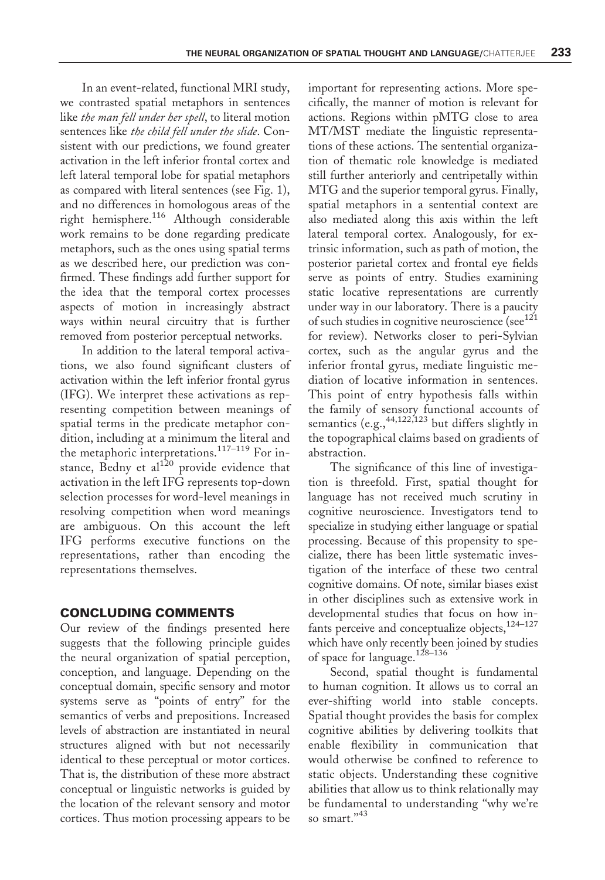In an event-related, functional MRI study, we contrasted spatial metaphors in sentences like the man fell under her spell, to literal motion sentences like the child fell under the slide. Consistent with our predictions, we found greater activation in the left inferior frontal cortex and left lateral temporal lobe for spatial metaphors as compared with literal sentences (see Fig. 1), and no differences in homologous areas of the right hemisphere.<sup>116</sup> Although considerable work remains to be done regarding predicate metaphors, such as the ones using spatial terms as we described here, our prediction was confirmed. These findings add further support for the idea that the temporal cortex processes aspects of motion in increasingly abstract ways within neural circuitry that is further removed from posterior perceptual networks.

In addition to the lateral temporal activations, we also found significant clusters of activation within the left inferior frontal gyrus (IFG). We interpret these activations as representing competition between meanings of spatial terms in the predicate metaphor condition, including at a minimum the literal and the metaphoric interpretations.<sup>117–119</sup> For instance, Bedny et al<sup>120</sup> provide evidence that activation in the left IFG represents top-down selection processes for word-level meanings in resolving competition when word meanings are ambiguous. On this account the left IFG performs executive functions on the representations, rather than encoding the representations themselves.

#### CONCLUDING COMMENTS

Our review of the findings presented here suggests that the following principle guides the neural organization of spatial perception, conception, and language. Depending on the conceptual domain, specific sensory and motor systems serve as ''points of entry'' for the semantics of verbs and prepositions. Increased levels of abstraction are instantiated in neural structures aligned with but not necessarily identical to these perceptual or motor cortices. That is, the distribution of these more abstract conceptual or linguistic networks is guided by the location of the relevant sensory and motor cortices. Thus motion processing appears to be

important for representing actions. More specifically, the manner of motion is relevant for actions. Regions within pMTG close to area MT/MST mediate the linguistic representations of these actions. The sentential organization of thematic role knowledge is mediated still further anteriorly and centripetally within MTG and the superior temporal gyrus. Finally, spatial metaphors in a sentential context are also mediated along this axis within the left lateral temporal cortex. Analogously, for extrinsic information, such as path of motion, the posterior parietal cortex and frontal eye fields serve as points of entry. Studies examining static locative representations are currently under way in our laboratory. There is a paucity of such studies in cognitive neuroscience (see<sup>121</sup> for review). Networks closer to peri-Sylvian cortex, such as the angular gyrus and the inferior frontal gyrus, mediate linguistic mediation of locative information in sentences. This point of entry hypothesis falls within the family of sensory functional accounts of semantics  $(e.g.,<sup>44,122,123</sup>$  but differs slightly in the topographical claims based on gradients of abstraction.

The significance of this line of investigation is threefold. First, spatial thought for language has not received much scrutiny in cognitive neuroscience. Investigators tend to specialize in studying either language or spatial processing. Because of this propensity to specialize, there has been little systematic investigation of the interface of these two central cognitive domains. Of note, similar biases exist in other disciplines such as extensive work in developmental studies that focus on how infants perceive and conceptualize objects,<sup>124-127</sup> which have only recently been joined by studies of space for language.128–136

Second, spatial thought is fundamental to human cognition. It allows us to corral an ever-shifting world into stable concepts. Spatial thought provides the basis for complex cognitive abilities by delivering toolkits that enable flexibility in communication that would otherwise be confined to reference to static objects. Understanding these cognitive abilities that allow us to think relationally may be fundamental to understanding ''why we're so smart."43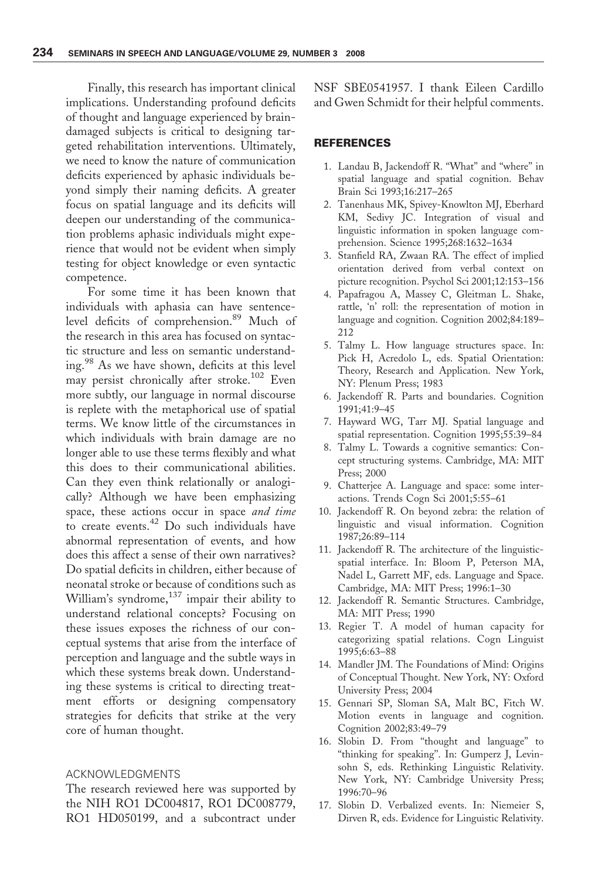Finally, this research has important clinical implications. Understanding profound deficits of thought and language experienced by braindamaged subjects is critical to designing targeted rehabilitation interventions. Ultimately, we need to know the nature of communication deficits experienced by aphasic individuals beyond simply their naming deficits. A greater focus on spatial language and its deficits will deepen our understanding of the communication problems aphasic individuals might experience that would not be evident when simply testing for object knowledge or even syntactic competence.

For some time it has been known that individuals with aphasia can have sentencelevel deficits of comprehension.<sup>89</sup> Much of the research in this area has focused on syntactic structure and less on semantic understanding.<sup>98</sup> As we have shown, deficits at this level may persist chronically after stroke.<sup>102</sup> Even more subtly, our language in normal discourse is replete with the metaphorical use of spatial terms. We know little of the circumstances in which individuals with brain damage are no longer able to use these terms flexibly and what this does to their communicational abilities. Can they even think relationally or analogically? Although we have been emphasizing space, these actions occur in space and time to create events.<sup>42</sup> Do such individuals have abnormal representation of events, and how does this affect a sense of their own narratives? Do spatial deficits in children, either because of neonatal stroke or because of conditions such as William's syndrome,<sup>137</sup> impair their ability to understand relational concepts? Focusing on these issues exposes the richness of our conceptual systems that arise from the interface of perception and language and the subtle ways in which these systems break down. Understanding these systems is critical to directing treatment efforts or designing compensatory strategies for deficits that strike at the very core of human thought.

#### ACKNOWLEDGMENTS

The research reviewed here was supported by the NIH RO1 DC004817, RO1 DC008779, RO1 HD050199, and a subcontract under NSF SBE0541957. I thank Eileen Cardillo and Gwen Schmidt for their helpful comments.

#### REFERENCES

- 1. Landau B, Jackendoff R. ''What'' and ''where'' in spatial language and spatial cognition. Behav Brain Sci 1993;16:217–265
- 2. Tanenhaus MK, Spivey-Knowlton MJ, Eberhard KM, Sedivy JC. Integration of visual and linguistic information in spoken language comprehension. Science 1995;268:1632–1634
- 3. Stanfield RA, Zwaan RA. The effect of implied orientation derived from verbal context on picture recognition. Psychol Sci 2001;12:153–156
- 4. Papafragou A, Massey C, Gleitman L. Shake, rattle, 'n' roll: the representation of motion in language and cognition. Cognition 2002;84:189– 212
- 5. Talmy L. How language structures space. In: Pick H, Acredolo L, eds. Spatial Orientation: Theory, Research and Application. New York, NY: Plenum Press; 1983
- 6. Jackendoff R. Parts and boundaries. Cognition 1991;41:9–45
- 7. Hayward WG, Tarr MJ. Spatial language and spatial representation. Cognition 1995;55:39–84
- 8. Talmy L. Towards a cognitive semantics: Concept structuring systems. Cambridge, MA: MIT Press; 2000
- 9. Chatterjee A. Language and space: some interactions. Trends Cogn Sci 2001;5:55–61
- 10. Jackendoff R. On beyond zebra: the relation of linguistic and visual information. Cognition 1987;26:89–114
- 11. Jackendoff R. The architecture of the linguisticspatial interface. In: Bloom P, Peterson MA, Nadel L, Garrett MF, eds. Language and Space. Cambridge, MA: MIT Press; 1996:1–30
- 12. Jackendoff R. Semantic Structures. Cambridge, MA: MIT Press; 1990
- 13. Regier T. A model of human capacity for categorizing spatial relations. Cogn Linguist 1995;6:63–88
- 14. Mandler JM. The Foundations of Mind: Origins of Conceptual Thought. New York, NY: Oxford University Press; 2004
- 15. Gennari SP, Sloman SA, Malt BC, Fitch W. Motion events in language and cognition. Cognition 2002;83:49–79
- 16. Slobin D. From ''thought and language'' to ''thinking for speaking''. In: Gumperz J, Levinsohn S, eds. Rethinking Linguistic Relativity. New York, NY: Cambridge University Press; 1996:70–96
- 17. Slobin D. Verbalized events. In: Niemeier S, Dirven R, eds. Evidence for Linguistic Relativity.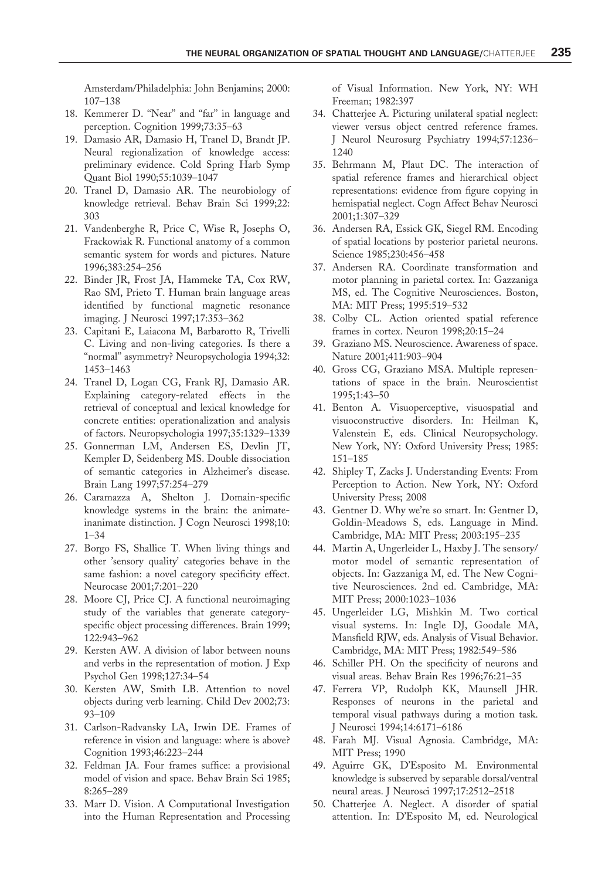Amsterdam/Philadelphia: John Benjamins; 2000: 107–138

- 18. Kemmerer D. "Near" and "far" in language and perception. Cognition 1999;73:35–63
- 19. Damasio AR, Damasio H, Tranel D, Brandt JP. Neural regionalization of knowledge access: preliminary evidence. Cold Spring Harb Symp Quant Biol 1990;55:1039–1047
- 20. Tranel D, Damasio AR. The neurobiology of knowledge retrieval. Behav Brain Sci 1999;22: 303
- 21. Vandenberghe R, Price C, Wise R, Josephs O, Frackowiak R. Functional anatomy of a common semantic system for words and pictures. Nature 1996;383:254–256
- 22. Binder JR, Frost JA, Hammeke TA, Cox RW, Rao SM, Prieto T. Human brain language areas identified by functional magnetic resonance imaging. J Neurosci 1997;17:353–362
- 23. Capitani E, Laiacona M, Barbarotto R, Trivelli C. Living and non-living categories. Is there a "normal" asymmetry? Neuropsychologia 1994;32: 1453–1463
- 24. Tranel D, Logan CG, Frank RJ, Damasio AR. Explaining category-related effects in the retrieval of conceptual and lexical knowledge for concrete entities: operationalization and analysis of factors. Neuropsychologia 1997;35:1329–1339
- 25. Gonnerman LM, Andersen ES, Devlin JT, Kempler D, Seidenberg MS. Double dissociation of semantic categories in Alzheimer's disease. Brain Lang 1997;57:254–279
- 26. Caramazza A, Shelton J. Domain-specific knowledge systems in the brain: the animateinanimate distinction. J Cogn Neurosci 1998;10: 1–34
- 27. Borgo FS, Shallice T. When living things and other 'sensory quality' categories behave in the same fashion: a novel category specificity effect. Neurocase 2001;7:201–220
- 28. Moore CJ, Price CJ. A functional neuroimaging study of the variables that generate categoryspecific object processing differences. Brain 1999; 122:943–962
- 29. Kersten AW. A division of labor between nouns and verbs in the representation of motion. J Exp Psychol Gen 1998;127:34–54
- 30. Kersten AW, Smith LB. Attention to novel objects during verb learning. Child Dev 2002;73: 93–109
- 31. Carlson-Radvansky LA, Irwin DE. Frames of reference in vision and language: where is above? Cognition 1993;46:223–244
- 32. Feldman JA. Four frames suffice: a provisional model of vision and space. Behav Brain Sci 1985; 8:265–289
- 33. Marr D. Vision. A Computational Investigation into the Human Representation and Processing

of Visual Information. New York, NY: WH Freeman; 1982:397

- 34. Chatterjee A. Picturing unilateral spatial neglect: viewer versus object centred reference frames. J Neurol Neurosurg Psychiatry 1994;57:1236– 1240
- 35. Behrmann M, Plaut DC. The interaction of spatial reference frames and hierarchical object representations: evidence from figure copying in hemispatial neglect. Cogn Affect Behav Neurosci 2001;1:307–329
- 36. Andersen RA, Essick GK, Siegel RM. Encoding of spatial locations by posterior parietal neurons. Science 1985;230:456–458
- 37. Andersen RA. Coordinate transformation and motor planning in parietal cortex. In: Gazzaniga MS, ed. The Cognitive Neurosciences. Boston, MA: MIT Press; 1995:519–532
- 38. Colby CL. Action oriented spatial reference frames in cortex. Neuron 1998;20:15–24
- 39. Graziano MS. Neuroscience. Awareness of space. Nature 2001;411:903–904
- 40. Gross CG, Graziano MSA. Multiple representations of space in the brain. Neuroscientist 1995;1:43–50
- 41. Benton A. Visuoperceptive, visuospatial and visuoconstructive disorders. In: Heilman K, Valenstein E, eds. Clinical Neuropsychology. New York, NY: Oxford University Press; 1985: 151–185
- 42. Shipley T, Zacks J. Understanding Events: From Perception to Action. New York, NY: Oxford University Press; 2008
- 43. Gentner D. Why we're so smart. In: Gentner D, Goldin-Meadows S, eds. Language in Mind. Cambridge, MA: MIT Press; 2003:195–235
- 44. Martin A, Ungerleider L, Haxby J. The sensory/ motor model of semantic representation of objects. In: Gazzaniga M, ed. The New Cognitive Neurosciences. 2nd ed. Cambridge, MA: MIT Press; 2000:1023–1036
- 45. Ungerleider LG, Mishkin M. Two cortical visual systems. In: Ingle DJ, Goodale MA, Mansfield RJW, eds. Analysis of Visual Behavior. Cambridge, MA: MIT Press; 1982:549–586
- 46. Schiller PH. On the specificity of neurons and visual areas. Behav Brain Res 1996;76:21–35
- 47. Ferrera VP, Rudolph KK, Maunsell JHR. Responses of neurons in the parietal and temporal visual pathways during a motion task. J Neurosci 1994;14:6171–6186
- 48. Farah MJ. Visual Agnosia. Cambridge, MA: MIT Press; 1990
- 49. Aguirre GK, D'Esposito M. Environmental knowledge is subserved by separable dorsal/ventral neural areas. J Neurosci 1997;17:2512–2518
- 50. Chatterjee A. Neglect. A disorder of spatial attention. In: D'Esposito M, ed. Neurological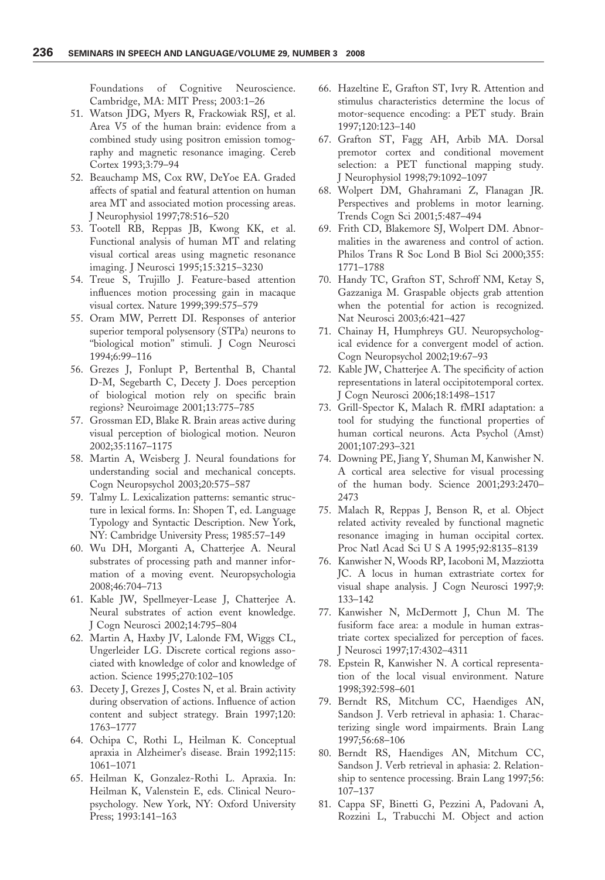Foundations of Cognitive Neuroscience. Cambridge, MA: MIT Press; 2003:1–26

- 51. Watson JDG, Myers R, Frackowiak RSJ, et al. Area V5 of the human brain: evidence from a combined study using positron emission tomography and magnetic resonance imaging. Cereb Cortex 1993;3:79–94
- 52. Beauchamp MS, Cox RW, DeYoe EA. Graded affects of spatial and featural attention on human area MT and associated motion processing areas. J Neurophysiol 1997;78:516–520
- 53. Tootell RB, Reppas JB, Kwong KK, et al. Functional analysis of human MT and relating visual cortical areas using magnetic resonance imaging. J Neurosci 1995;15:3215–3230
- 54. Treue S, Trujillo J. Feature-based attention influences motion processing gain in macaque visual cortex. Nature 1999;399:575–579
- 55. Oram MW, Perrett DI. Responses of anterior superior temporal polysensory (STPa) neurons to ''biological motion'' stimuli. J Cogn Neurosci 1994;6:99–116
- 56. Grezes J, Fonlupt P, Bertenthal B, Chantal D-M, Segebarth C, Decety J. Does perception of biological motion rely on specific brain regions? Neuroimage 2001;13:775–785
- 57. Grossman ED, Blake R. Brain areas active during visual perception of biological motion. Neuron 2002;35:1167–1175
- 58. Martin A, Weisberg J. Neural foundations for understanding social and mechanical concepts. Cogn Neuropsychol 2003;20:575–587
- 59. Talmy L. Lexicalization patterns: semantic structure in lexical forms. In: Shopen T, ed. Language Typology and Syntactic Description. New York, NY: Cambridge University Press; 1985:57–149
- 60. Wu DH, Morganti A, Chatterjee A. Neural substrates of processing path and manner information of a moving event. Neuropsychologia 2008;46:704–713
- 61. Kable JW, Spellmeyer-Lease J, Chatterjee A. Neural substrates of action event knowledge. J Cogn Neurosci 2002;14:795–804
- 62. Martin A, Haxby JV, Lalonde FM, Wiggs CL, Ungerleider LG. Discrete cortical regions associated with knowledge of color and knowledge of action. Science 1995;270:102–105
- 63. Decety J, Grezes J, Costes N, et al. Brain activity during observation of actions. Influence of action content and subject strategy. Brain 1997;120: 1763–1777
- 64. Ochipa C, Rothi L, Heilman K. Conceptual apraxia in Alzheimer's disease. Brain 1992;115: 1061–1071
- 65. Heilman K, Gonzalez-Rothi L. Apraxia. In: Heilman K, Valenstein E, eds. Clinical Neuropsychology. New York, NY: Oxford University Press; 1993:141–163
- 66. Hazeltine E, Grafton ST, Ivry R. Attention and stimulus characteristics determine the locus of motor-sequence encoding: a PET study. Brain 1997;120:123–140
- 67. Grafton ST, Fagg AH, Arbib MA. Dorsal premotor cortex and conditional movement selection: a PET functional mapping study. J Neurophysiol 1998;79:1092–1097
- 68. Wolpert DM, Ghahramani Z, Flanagan JR. Perspectives and problems in motor learning. Trends Cogn Sci 2001;5:487–494
- 69. Frith CD, Blakemore SJ, Wolpert DM. Abnormalities in the awareness and control of action. Philos Trans R Soc Lond B Biol Sci 2000;355: 1771–1788
- 70. Handy TC, Grafton ST, Schroff NM, Ketay S, Gazzaniga M. Graspable objects grab attention when the potential for action is recognized. Nat Neurosci 2003;6:421–427
- 71. Chainay H, Humphreys GU. Neuropsychological evidence for a convergent model of action. Cogn Neuropsychol 2002;19:67–93
- 72. Kable JW, Chatterjee A. The specificity of action representations in lateral occipitotemporal cortex. J Cogn Neurosci 2006;18:1498–1517
- 73. Grill-Spector K, Malach R. fMRI adaptation: a tool for studying the functional properties of human cortical neurons. Acta Psychol (Amst) 2001;107:293–321
- 74. Downing PE, Jiang Y, Shuman M, Kanwisher N. A cortical area selective for visual processing of the human body. Science 2001;293:2470– 2473
- 75. Malach R, Reppas J, Benson R, et al. Object related activity revealed by functional magnetic resonance imaging in human occipital cortex. Proc Natl Acad Sci U S A 1995;92:8135–8139
- 76. Kanwisher N, Woods RP, Iacoboni M, Mazziotta JC. A locus in human extrastriate cortex for visual shape analysis. J Cogn Neurosci 1997;9: 133–142
- 77. Kanwisher N, McDermott J, Chun M. The fusiform face area: a module in human extrastriate cortex specialized for perception of faces. J Neurosci 1997;17:4302–4311
- 78. Epstein R, Kanwisher N. A cortical representation of the local visual environment. Nature 1998;392:598–601
- 79. Berndt RS, Mitchum CC, Haendiges AN, Sandson J. Verb retrieval in aphasia: 1. Characterizing single word impairments. Brain Lang 1997;56:68–106
- 80. Berndt RS, Haendiges AN, Mitchum CC, Sandson J. Verb retrieval in aphasia: 2. Relationship to sentence processing. Brain Lang 1997;56: 107–137
- 81. Cappa SF, Binetti G, Pezzini A, Padovani A, Rozzini L, Trabucchi M. Object and action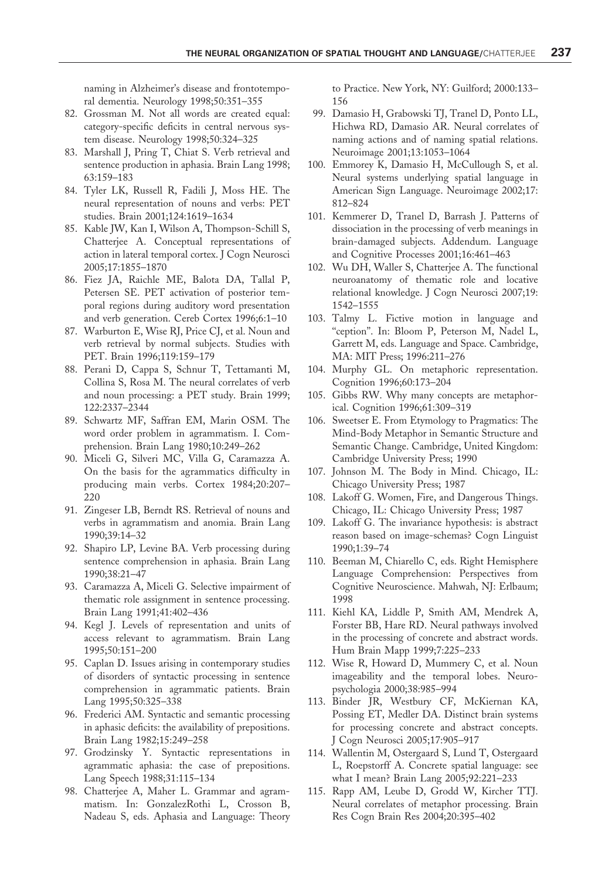naming in Alzheimer's disease and frontotemporal dementia. Neurology 1998;50:351–355

- 82. Grossman M. Not all words are created equal: category-specific deficits in central nervous system disease. Neurology 1998;50:324–325
- 83. Marshall J, Pring T, Chiat S. Verb retrieval and sentence production in aphasia. Brain Lang 1998; 63:159–183
- 84. Tyler LK, Russell R, Fadili J, Moss HE. The neural representation of nouns and verbs: PET studies. Brain 2001;124:1619–1634
- 85. Kable JW, Kan I, Wilson A, Thompson-Schill S, Chatterjee A. Conceptual representations of action in lateral temporal cortex. J Cogn Neurosci 2005;17:1855–1870
- 86. Fiez JA, Raichle ME, Balota DA, Tallal P, Petersen SE. PET activation of posterior temporal regions during auditory word presentation and verb generation. Cereb Cortex 1996;6:1–10
- 87. Warburton E, Wise RJ, Price CJ, et al. Noun and verb retrieval by normal subjects. Studies with PET. Brain 1996;119:159–179
- 88. Perani D, Cappa S, Schnur T, Tettamanti M, Collina S, Rosa M. The neural correlates of verb and noun processing: a PET study. Brain 1999; 122:2337–2344
- 89. Schwartz MF, Saffran EM, Marin OSM. The word order problem in agrammatism. I. Comprehension. Brain Lang 1980;10:249–262
- 90. Miceli G, Silveri MC, Villa G, Caramazza A. On the basis for the agrammatics difficulty in producing main verbs. Cortex 1984;20:207– 220
- 91. Zingeser LB, Berndt RS. Retrieval of nouns and verbs in agrammatism and anomia. Brain Lang 1990;39:14–32
- 92. Shapiro LP, Levine BA. Verb processing during sentence comprehension in aphasia. Brain Lang 1990;38:21–47
- 93. Caramazza A, Miceli G. Selective impairment of thematic role assignment in sentence processing. Brain Lang 1991;41:402–436
- 94. Kegl J. Levels of representation and units of access relevant to agrammatism. Brain Lang 1995;50:151–200
- 95. Caplan D. Issues arising in contemporary studies of disorders of syntactic processing in sentence comprehension in agrammatic patients. Brain Lang 1995;50:325–338
- 96. Frederici AM. Syntactic and semantic processing in aphasic deficits: the availability of prepositions. Brain Lang 1982;15:249–258
- 97. Grodzinsky Y. Syntactic representations in agrammatic aphasia: the case of prepositions. Lang Speech 1988;31:115–134
- 98. Chatterjee A, Maher L. Grammar and agrammatism. In: GonzalezRothi L, Crosson B, Nadeau S, eds. Aphasia and Language: Theory

to Practice. New York, NY: Guilford; 2000:133– 156

- 99. Damasio H, Grabowski TJ, Tranel D, Ponto LL, Hichwa RD, Damasio AR. Neural correlates of naming actions and of naming spatial relations. Neuroimage 2001;13:1053–1064
- 100. Emmorey K, Damasio H, McCullough S, et al. Neural systems underlying spatial language in American Sign Language. Neuroimage 2002;17: 812–824
- 101. Kemmerer D, Tranel D, Barrash J. Patterns of dissociation in the processing of verb meanings in brain-damaged subjects. Addendum. Language and Cognitive Processes 2001;16:461–463
- 102. Wu DH, Waller S, Chatterjee A. The functional neuroanatomy of thematic role and locative relational knowledge. J Cogn Neurosci 2007;19: 1542–1555
- 103. Talmy L. Fictive motion in language and "ception". In: Bloom P, Peterson M, Nadel L, Garrett M, eds. Language and Space. Cambridge, MA: MIT Press; 1996:211–276
- 104. Murphy GL. On metaphoric representation. Cognition 1996;60:173–204
- 105. Gibbs RW. Why many concepts are metaphorical. Cognition 1996;61:309–319
- 106. Sweetser E. From Etymology to Pragmatics: The Mind-Body Metaphor in Semantic Structure and Semantic Change. Cambridge, United Kingdom: Cambridge University Press; 1990
- 107. Johnson M. The Body in Mind. Chicago, IL: Chicago University Press; 1987
- 108. Lakoff G. Women, Fire, and Dangerous Things. Chicago, IL: Chicago University Press; 1987
- 109. Lakoff G. The invariance hypothesis: is abstract reason based on image-schemas? Cogn Linguist 1990;1:39–74
- 110. Beeman M, Chiarello C, eds. Right Hemisphere Language Comprehension: Perspectives from Cognitive Neuroscience. Mahwah, NJ: Erlbaum; 1998
- 111. Kiehl KA, Liddle P, Smith AM, Mendrek A, Forster BB, Hare RD. Neural pathways involved in the processing of concrete and abstract words. Hum Brain Mapp 1999;7:225–233
- 112. Wise R, Howard D, Mummery C, et al. Noun imageability and the temporal lobes. Neuropsychologia 2000;38:985–994
- 113. Binder JR, Westbury CF, McKiernan KA, Possing ET, Medler DA. Distinct brain systems for processing concrete and abstract concepts. J Cogn Neurosci 2005;17:905–917
- 114. Wallentin M, Ostergaard S, Lund T, Ostergaard L, Roepstorff A. Concrete spatial language: see what I mean? Brain Lang 2005;92:221–233
- 115. Rapp AM, Leube D, Grodd W, Kircher TTJ. Neural correlates of metaphor processing. Brain Res Cogn Brain Res 2004;20:395–402